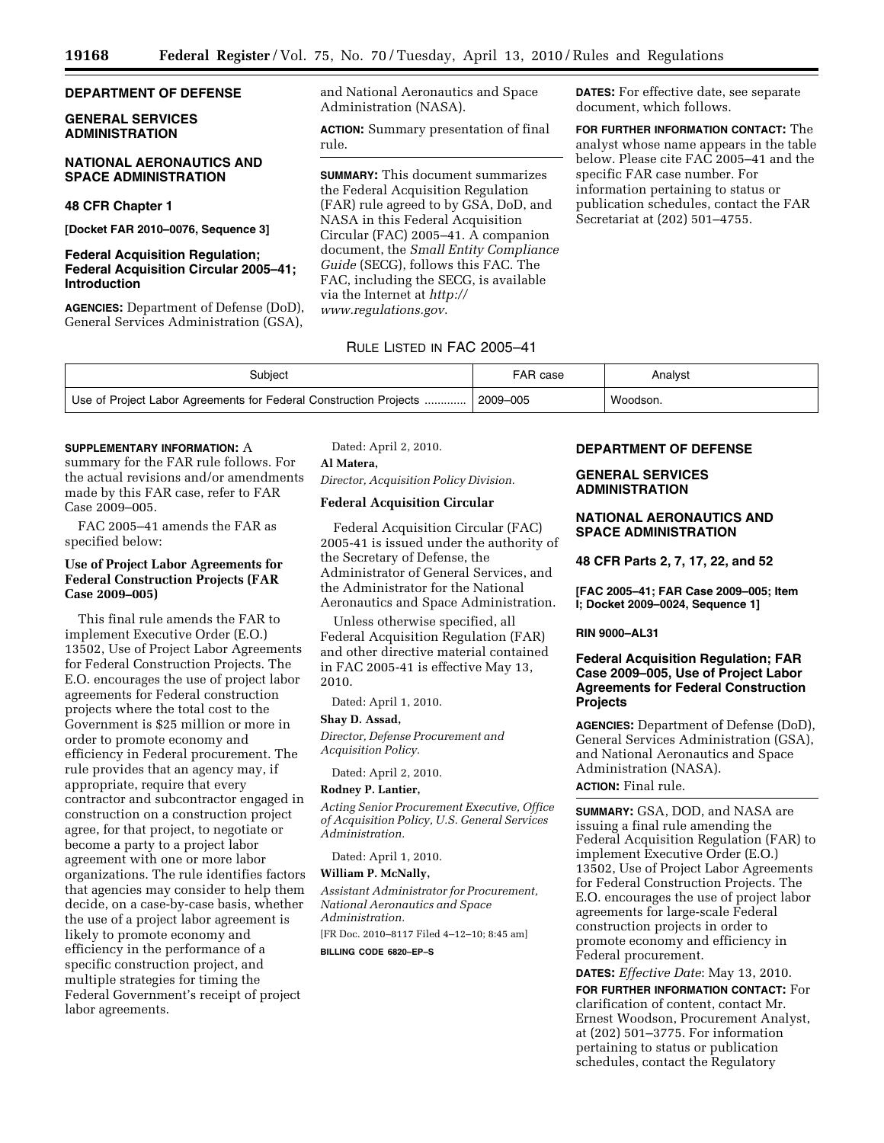# **DEPARTMENT OF DEFENSE**

## **GENERAL SERVICES ADMINISTRATION**

### **NATIONAL AERONAUTICS AND SPACE ADMINISTRATION**

# **48 CFR Chapter 1**

**[Docket FAR 2010–0076, Sequence 3]** 

## **Federal Acquisition Regulation; Federal Acquisition Circular 2005–41; Introduction**

**AGENCIES:** Department of Defense (DoD), General Services Administration (GSA), and National Aeronautics and Space Administration (NASA).

**ACTION:** Summary presentation of final rule.

**SUMMARY:** This document summarizes the Federal Acquisition Regulation (FAR) rule agreed to by GSA, DoD, and NASA in this Federal Acquisition Circular (FAC) 2005–41. A companion document, the *Small Entity Compliance Guide* (SECG), follows this FAC. The FAC, including the SECG, is available via the Internet at *http:// www.regulations.gov*.

**DATES:** For effective date, see separate document, which follows.

**FOR FURTHER INFORMATION CONTACT:** The analyst whose name appears in the table below. Please cite FAC 2005–41 and the specific FAR case number. For information pertaining to status or publication schedules, contact the FAR Secretariat at (202) 501–4755.

## RULE LISTED IN FAC 2005–41

| Subject                                                                     | FAR case | Analyst  |
|-----------------------------------------------------------------------------|----------|----------|
| Use of Project Labor Agreements for Federal Construction Projects  2009–005 |          | Woodson. |

### **SUPPLEMENTARY INFORMATION:** A

summary for the FAR rule follows. For the actual revisions and/or amendments made by this FAR case, refer to FAR Case 2009–005.

FAC 2005–41 amends the FAR as specified below:

# **Use of Project Labor Agreements for Federal Construction Projects (FAR Case 2009–005)**

This final rule amends the FAR to implement Executive Order (E.O.) 13502, Use of Project Labor Agreements for Federal Construction Projects. The E.O. encourages the use of project labor agreements for Federal construction projects where the total cost to the Government is \$25 million or more in order to promote economy and efficiency in Federal procurement. The rule provides that an agency may, if appropriate, require that every contractor and subcontractor engaged in construction on a construction project agree, for that project, to negotiate or become a party to a project labor agreement with one or more labor organizations. The rule identifies factors that agencies may consider to help them decide, on a case-by-case basis, whether the use of a project labor agreement is likely to promote economy and efficiency in the performance of a specific construction project, and multiple strategies for timing the Federal Government's receipt of project labor agreements.

Dated: April 2, 2010.

## **Al Matera,**

*Director, Acquisition Policy Division.* 

## **Federal Acquisition Circular**

Federal Acquisition Circular (FAC) 2005-41 is issued under the authority of the Secretary of Defense, the Administrator of General Services, and the Administrator for the National Aeronautics and Space Administration.

Unless otherwise specified, all Federal Acquisition Regulation (FAR) and other directive material contained in FAC 2005-41 is effective May 13, 2010.

Dated: April 1, 2010.

### **Shay D. Assad,**

*Director, Defense Procurement and Acquisition Policy.* 

Dated: April 2, 2010.

# **Rodney P. Lantier,**

*Acting Senior Procurement Executive, Office of Acquisition Policy, U.S. General Services Administration.* 

Dated: April 1, 2010.

# **William P. McNally,**

*Assistant Administrator for Procurement, National Aeronautics and Space Administration.*  [FR Doc. 2010–8117 Filed 4–12–10; 8:45 am]

**BILLING CODE 6820–EP–S** 

## **DEPARTMENT OF DEFENSE**

# **GENERAL SERVICES ADMINISTRATION**

# **NATIONAL AERONAUTICS AND SPACE ADMINISTRATION**

**48 CFR Parts 2, 7, 17, 22, and 52** 

**[FAC 2005–41; FAR Case 2009–005; Item I; Docket 2009–0024, Sequence 1]** 

# **RIN 9000–AL31**

# **Federal Acquisition Regulation; FAR Case 2009–005, Use of Project Labor Agreements for Federal Construction Projects**

**AGENCIES:** Department of Defense (DoD), General Services Administration (GSA), and National Aeronautics and Space Administration (NASA). **ACTION:** Final rule.

**SUMMARY:** GSA, DOD, and NASA are issuing a final rule amending the Federal Acquisition Regulation (FAR) to implement Executive Order (E.O.) 13502, Use of Project Labor Agreements for Federal Construction Projects. The E.O. encourages the use of project labor agreements for large-scale Federal construction projects in order to promote economy and efficiency in Federal procurement.

**DATES:** *Effective Date*: May 13, 2010.

**FOR FURTHER INFORMATION CONTACT:** For clarification of content, contact Mr. Ernest Woodson, Procurement Analyst, at (202) 501–3775. For information pertaining to status or publication schedules, contact the Regulatory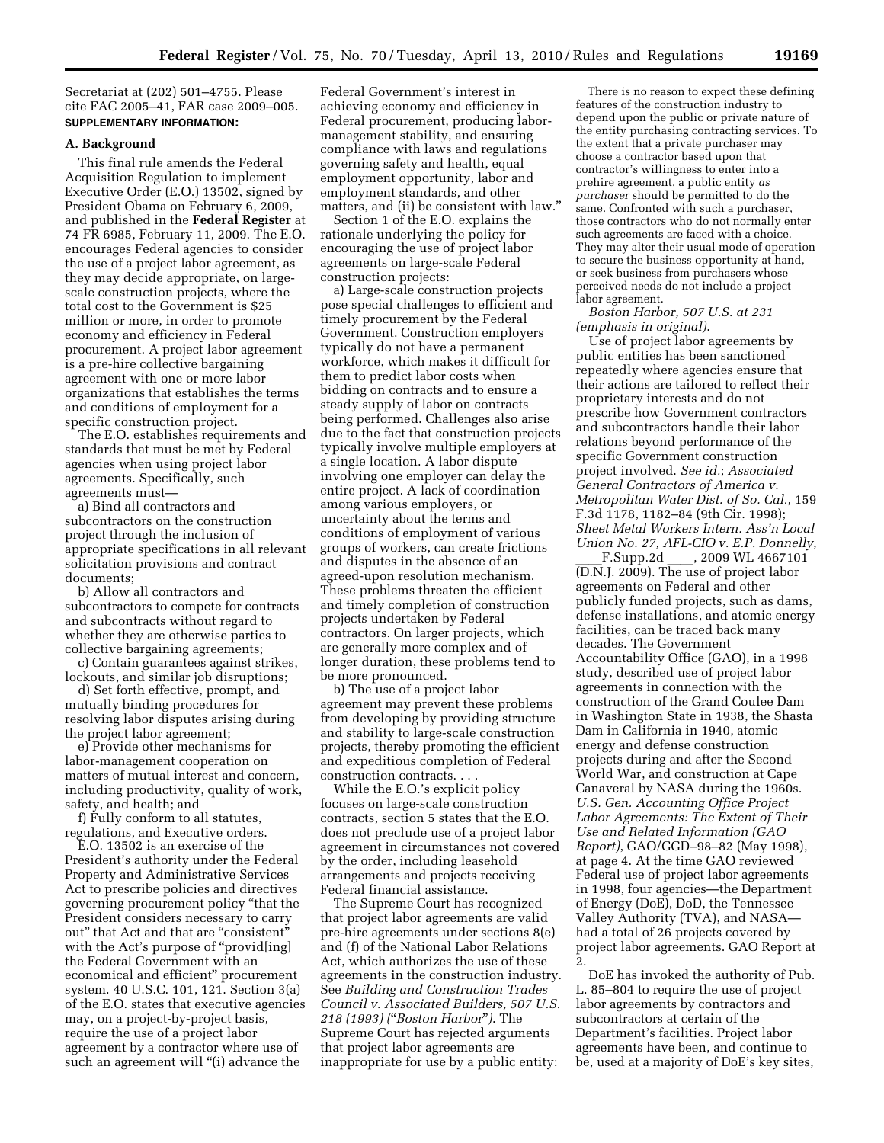Secretariat at (202) 501–4755. Please cite FAC 2005–41, FAR case 2009–005. **SUPPLEMENTARY INFORMATION:** 

### **A. Background**

This final rule amends the Federal Acquisition Regulation to implement Executive Order (E.O.) 13502, signed by President Obama on February 6, 2009, and published in the **Federal Register** at 74 FR 6985, February 11, 2009. The E.O. encourages Federal agencies to consider the use of a project labor agreement, as they may decide appropriate, on largescale construction projects, where the total cost to the Government is \$25 million or more, in order to promote economy and efficiency in Federal procurement. A project labor agreement is a pre-hire collective bargaining agreement with one or more labor organizations that establishes the terms and conditions of employment for a specific construction project.

The E.O. establishes requirements and standards that must be met by Federal agencies when using project labor agreements. Specifically, such agreements must—

a) Bind all contractors and subcontractors on the construction project through the inclusion of appropriate specifications in all relevant solicitation provisions and contract documents;

b) Allow all contractors and subcontractors to compete for contracts and subcontracts without regard to whether they are otherwise parties to collective bargaining agreements;

c) Contain guarantees against strikes, lockouts, and similar job disruptions;

d) Set forth effective, prompt, and mutually binding procedures for resolving labor disputes arising during the project labor agreement;

e) Provide other mechanisms for labor-management cooperation on matters of mutual interest and concern, including productivity, quality of work, safety, and health; and

f) Fully conform to all statutes, regulations, and Executive orders.

E.O. 13502 is an exercise of the President's authority under the Federal Property and Administrative Services Act to prescribe policies and directives governing procurement policy ''that the President considers necessary to carry out'' that Act and that are ''consistent'' with the Act's purpose of "provid [ing] the Federal Government with an economical and efficient'' procurement system. 40 U.S.C. 101, 121. Section 3(a) of the E.O. states that executive agencies may, on a project-by-project basis, require the use of a project labor agreement by a contractor where use of such an agreement will "(i) advance the

Federal Government's interest in achieving economy and efficiency in Federal procurement, producing labormanagement stability, and ensuring compliance with laws and regulations governing safety and health, equal employment opportunity, labor and employment standards, and other matters, and (ii) be consistent with law.''

Section 1 of the E.O. explains the rationale underlying the policy for encouraging the use of project labor agreements on large-scale Federal construction projects:

a) Large-scale construction projects pose special challenges to efficient and timely procurement by the Federal Government. Construction employers typically do not have a permanent workforce, which makes it difficult for them to predict labor costs when bidding on contracts and to ensure a steady supply of labor on contracts being performed. Challenges also arise due to the fact that construction projects typically involve multiple employers at a single location. A labor dispute involving one employer can delay the entire project. A lack of coordination among various employers, or uncertainty about the terms and conditions of employment of various groups of workers, can create frictions and disputes in the absence of an agreed-upon resolution mechanism. These problems threaten the efficient and timely completion of construction projects undertaken by Federal contractors. On larger projects, which are generally more complex and of longer duration, these problems tend to be more pronounced.

b) The use of a project labor agreement may prevent these problems from developing by providing structure and stability to large-scale construction projects, thereby promoting the efficient and expeditious completion of Federal construction contracts. . . .

While the E.O.'s explicit policy focuses on large-scale construction contracts, section 5 states that the E.O. does not preclude use of a project labor agreement in circumstances not covered by the order, including leasehold arrangements and projects receiving Federal financial assistance.

The Supreme Court has recognized that project labor agreements are valid pre-hire agreements under sections 8(e) and (f) of the National Labor Relations Act, which authorizes the use of these agreements in the construction industry. See *Building and Construction Trades Council v. Associated Builders, 507 U.S. 218 (1993) (*''*Boston Harbor*''*)*. The Supreme Court has rejected arguments that project labor agreements are inappropriate for use by a public entity:

There is no reason to expect these defining features of the construction industry to depend upon the public or private nature of the entity purchasing contracting services. To the extent that a private purchaser may choose a contractor based upon that contractor's willingness to enter into a prehire agreement, a public entity *as purchaser* should be permitted to do the same. Confronted with such a purchaser, those contractors who do not normally enter such agreements are faced with a choice. They may alter their usual mode of operation to secure the business opportunity at hand, or seek business from purchasers whose perceived needs do not include a project labor agreement.

*Boston Harbor, 507 U.S. at 231 (emphasis in original)*.

Use of project labor agreements by public entities has been sanctioned repeatedly where agencies ensure that their actions are tailored to reflect their proprietary interests and do not prescribe how Government contractors and subcontractors handle their labor relations beyond performance of the specific Government construction project involved. *See id.*; *Associated General Contractors of America v. Metropolitan Water Dist. of So. Cal.*, 159 F.3d 1178, 1182–84 (9th Cir. 1998); *Sheet Metal Workers Intern. Ass'n Local Union No. 27, AFL-CIO v. E.P. Donnelly*,

\_\_\_F.Supp.2d \_\_\_\_, 2009 WL 4667101<br>(D.N.J. 2009). The use of project labor agreements on Federal and other publicly funded projects, such as dams, defense installations, and atomic energy facilities, can be traced back many decades. The Government Accountability Office (GAO), in a 1998 study, described use of project labor agreements in connection with the construction of the Grand Coulee Dam in Washington State in 1938, the Shasta Dam in California in 1940, atomic energy and defense construction projects during and after the Second World War, and construction at Cape Canaveral by NASA during the 1960s. *U.S. Gen. Accounting Office Project Labor Agreements: The Extent of Their Use and Related Information (GAO Report)*, GAO/GGD–98–82 (May 1998), at page 4. At the time GAO reviewed Federal use of project labor agreements in 1998, four agencies—the Department of Energy (DoE), DoD, the Tennessee Valley Authority (TVA), and NASA had a total of 26 projects covered by project labor agreements. GAO Report at 2.

DoE has invoked the authority of Pub. L. 85–804 to require the use of project labor agreements by contractors and subcontractors at certain of the Department's facilities. Project labor agreements have been, and continue to be, used at a majority of DoE's key sites,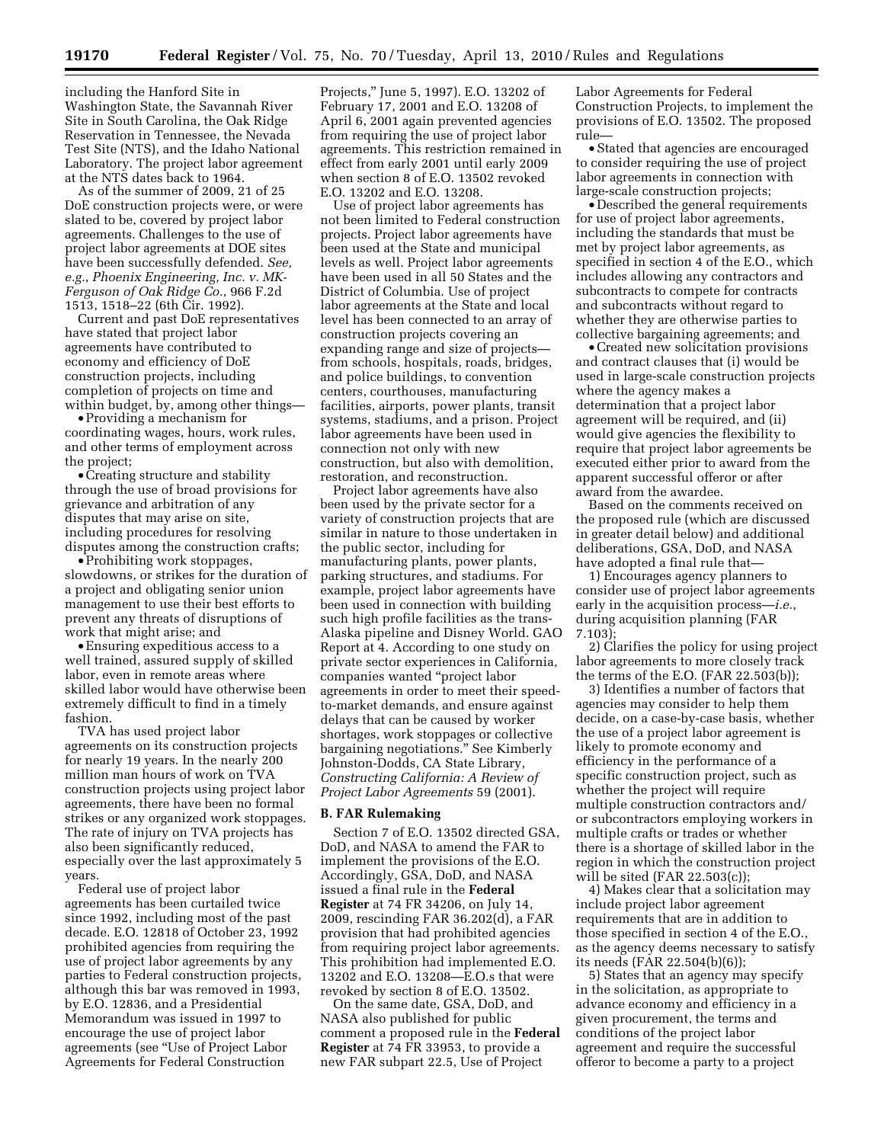including the Hanford Site in Washington State, the Savannah River Site in South Carolina, the Oak Ridge Reservation in Tennessee, the Nevada Test Site (NTS), and the Idaho National Laboratory. The project labor agreement at the NTS dates back to 1964.

As of the summer of 2009, 21 of 25 DoE construction projects were, or were slated to be, covered by project labor agreements. Challenges to the use of project labor agreements at DOE sites have been successfully defended. *See, e.g.*, *Phoenix Engineering, Inc. v. MK-Ferguson of Oak Ridge Co.*, 966 F.2d 1513, 1518–22 (6th Cir. 1992).

Current and past DoE representatives have stated that project labor agreements have contributed to economy and efficiency of DoE construction projects, including completion of projects on time and within budget, by, among other things—

• Providing a mechanism for coordinating wages, hours, work rules, and other terms of employment across the project;

•Creating structure and stability through the use of broad provisions for grievance and arbitration of any disputes that may arise on site, including procedures for resolving disputes among the construction crafts;

• Prohibiting work stoppages, slowdowns, or strikes for the duration of a project and obligating senior union management to use their best efforts to prevent any threats of disruptions of work that might arise; and

• Ensuring expeditious access to a well trained, assured supply of skilled labor, even in remote areas where skilled labor would have otherwise been extremely difficult to find in a timely fashion.

TVA has used project labor agreements on its construction projects for nearly 19 years. In the nearly 200 million man hours of work on TVA construction projects using project labor agreements, there have been no formal strikes or any organized work stoppages. The rate of injury on TVA projects has also been significantly reduced, especially over the last approximately 5 years.

Federal use of project labor agreements has been curtailed twice since 1992, including most of the past decade. E.O. 12818 of October 23, 1992 prohibited agencies from requiring the use of project labor agreements by any parties to Federal construction projects, although this bar was removed in 1993, by E.O. 12836, and a Presidential Memorandum was issued in 1997 to encourage the use of project labor agreements (see ''Use of Project Labor Agreements for Federal Construction

Projects,'' June 5, 1997). E.O. 13202 of February 17, 2001 and E.O. 13208 of April 6, 2001 again prevented agencies from requiring the use of project labor agreements. This restriction remained in effect from early 2001 until early 2009 when section 8 of E.O. 13502 revoked E.O. 13202 and E.O. 13208.

Use of project labor agreements has not been limited to Federal construction projects. Project labor agreements have been used at the State and municipal levels as well. Project labor agreements have been used in all 50 States and the District of Columbia. Use of project labor agreements at the State and local level has been connected to an array of construction projects covering an expanding range and size of projects from schools, hospitals, roads, bridges, and police buildings, to convention centers, courthouses, manufacturing facilities, airports, power plants, transit systems, stadiums, and a prison. Project labor agreements have been used in connection not only with new construction, but also with demolition, restoration, and reconstruction.

Project labor agreements have also been used by the private sector for a variety of construction projects that are similar in nature to those undertaken in the public sector, including for manufacturing plants, power plants, parking structures, and stadiums. For example, project labor agreements have been used in connection with building such high profile facilities as the trans-Alaska pipeline and Disney World. GAO Report at 4. According to one study on private sector experiences in California, companies wanted ''project labor agreements in order to meet their speedto-market demands, and ensure against delays that can be caused by worker shortages, work stoppages or collective bargaining negotiations.'' See Kimberly Johnston-Dodds, CA State Library, *Constructing California: A Review of Project Labor Agreements* 59 (2001).

#### **B. FAR Rulemaking**

Section 7 of E.O. 13502 directed GSA, DoD, and NASA to amend the FAR to implement the provisions of the E.O. Accordingly, GSA, DoD, and NASA issued a final rule in the **Federal Register** at 74 FR 34206, on July 14, 2009, rescinding FAR 36.202(d), a FAR provision that had prohibited agencies from requiring project labor agreements. This prohibition had implemented E.O. 13202 and E.O. 13208—E.O.s that were revoked by section 8 of E.O. 13502.

On the same date, GSA, DoD, and NASA also published for public comment a proposed rule in the **Federal Register** at 74 FR 33953, to provide a new FAR subpart 22.5, Use of Project

Labor Agreements for Federal Construction Projects, to implement the provisions of E.O. 13502. The proposed rule—

• Stated that agencies are encouraged to consider requiring the use of project labor agreements in connection with large-scale construction projects;

• Described the general requirements for use of project labor agreements, including the standards that must be met by project labor agreements, as specified in section 4 of the E.O., which includes allowing any contractors and subcontracts to compete for contracts and subcontracts without regard to whether they are otherwise parties to collective bargaining agreements; and

•Created new solicitation provisions and contract clauses that (i) would be used in large-scale construction projects where the agency makes a determination that a project labor agreement will be required, and (ii) would give agencies the flexibility to require that project labor agreements be executed either prior to award from the apparent successful offeror or after award from the awardee.

Based on the comments received on the proposed rule (which are discussed in greater detail below) and additional deliberations, GSA, DoD, and NASA have adopted a final rule that—

1) Encourages agency planners to consider use of project labor agreements early in the acquisition process—*i.e.*, during acquisition planning (FAR 7.103);

2) Clarifies the policy for using project labor agreements to more closely track the terms of the E.O. (FAR 22.503(b));

3) Identifies a number of factors that agencies may consider to help them decide, on a case-by-case basis, whether the use of a project labor agreement is likely to promote economy and efficiency in the performance of a specific construction project, such as whether the project will require multiple construction contractors and/ or subcontractors employing workers in multiple crafts or trades or whether there is a shortage of skilled labor in the region in which the construction project will be sited (FAR 22.503(c));

4) Makes clear that a solicitation may include project labor agreement requirements that are in addition to those specified in section 4 of the E.O., as the agency deems necessary to satisfy its needs (FAR 22.504(b)(6));

5) States that an agency may specify in the solicitation, as appropriate to advance economy and efficiency in a given procurement, the terms and conditions of the project labor agreement and require the successful offeror to become a party to a project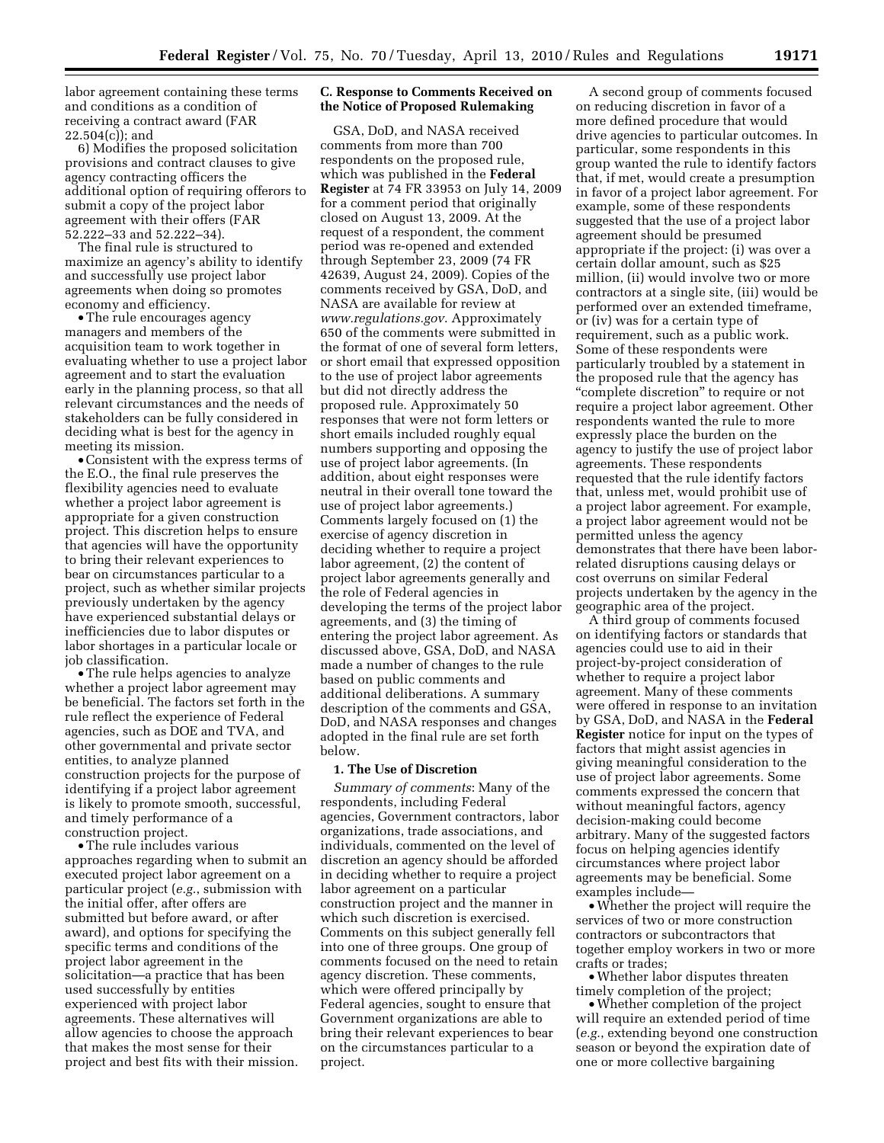labor agreement containing these terms and conditions as a condition of receiving a contract award (FAR 22.504(c)); and

6) Modifies the proposed solicitation provisions and contract clauses to give agency contracting officers the additional option of requiring offerors to submit a copy of the project labor agreement with their offers (FAR 52.222–33 and 52.222–34).

The final rule is structured to maximize an agency's ability to identify and successfully use project labor agreements when doing so promotes economy and efficiency.

•The rule encourages agency managers and members of the acquisition team to work together in evaluating whether to use a project labor agreement and to start the evaluation early in the planning process, so that all relevant circumstances and the needs of stakeholders can be fully considered in deciding what is best for the agency in meeting its mission.

•Consistent with the express terms of the E.O., the final rule preserves the flexibility agencies need to evaluate whether a project labor agreement is appropriate for a given construction project. This discretion helps to ensure that agencies will have the opportunity to bring their relevant experiences to bear on circumstances particular to a project, such as whether similar projects previously undertaken by the agency have experienced substantial delays or inefficiencies due to labor disputes or labor shortages in a particular locale or job classification.

•The rule helps agencies to analyze whether a project labor agreement may be beneficial. The factors set forth in the rule reflect the experience of Federal agencies, such as DOE and TVA, and other governmental and private sector entities, to analyze planned construction projects for the purpose of identifying if a project labor agreement is likely to promote smooth, successful, and timely performance of a construction project.

•The rule includes various approaches regarding when to submit an executed project labor agreement on a particular project (*e.g.*, submission with the initial offer, after offers are submitted but before award, or after award), and options for specifying the specific terms and conditions of the project labor agreement in the solicitation—a practice that has been used successfully by entities experienced with project labor agreements. These alternatives will allow agencies to choose the approach that makes the most sense for their project and best fits with their mission.

# **C. Response to Comments Received on the Notice of Proposed Rulemaking**

GSA, DoD, and NASA received comments from more than 700 respondents on the proposed rule, which was published in the **Federal Register** at 74 FR 33953 on July 14, 2009 for a comment period that originally closed on August 13, 2009. At the request of a respondent, the comment period was re-opened and extended through September 23, 2009 (74 FR 42639, August 24, 2009). Copies of the comments received by GSA, DoD, and NASA are available for review at *www.regulations.gov*. Approximately 650 of the comments were submitted in the format of one of several form letters, or short email that expressed opposition to the use of project labor agreements but did not directly address the proposed rule. Approximately 50 responses that were not form letters or short emails included roughly equal numbers supporting and opposing the use of project labor agreements. (In addition, about eight responses were neutral in their overall tone toward the use of project labor agreements.) Comments largely focused on (1) the exercise of agency discretion in deciding whether to require a project labor agreement, (2) the content of project labor agreements generally and the role of Federal agencies in developing the terms of the project labor agreements, and (3) the timing of entering the project labor agreement. As discussed above, GSA, DoD, and NASA made a number of changes to the rule based on public comments and additional deliberations. A summary description of the comments and GSA, DoD, and NASA responses and changes adopted in the final rule are set forth below.

### **1. The Use of Discretion**

*Summary of comments*: Many of the respondents, including Federal agencies, Government contractors, labor organizations, trade associations, and individuals, commented on the level of discretion an agency should be afforded in deciding whether to require a project labor agreement on a particular construction project and the manner in which such discretion is exercised. Comments on this subject generally fell into one of three groups. One group of comments focused on the need to retain agency discretion. These comments, which were offered principally by Federal agencies, sought to ensure that Government organizations are able to bring their relevant experiences to bear on the circumstances particular to a project.

A second group of comments focused on reducing discretion in favor of a more defined procedure that would drive agencies to particular outcomes. In particular, some respondents in this group wanted the rule to identify factors that, if met, would create a presumption in favor of a project labor agreement. For example, some of these respondents suggested that the use of a project labor agreement should be presumed appropriate if the project: (i) was over a certain dollar amount, such as \$25 million, (ii) would involve two or more contractors at a single site, (iii) would be performed over an extended timeframe, or (iv) was for a certain type of requirement, such as a public work. Some of these respondents were particularly troubled by a statement in the proposed rule that the agency has ''complete discretion'' to require or not require a project labor agreement. Other respondents wanted the rule to more expressly place the burden on the agency to justify the use of project labor agreements. These respondents requested that the rule identify factors that, unless met, would prohibit use of a project labor agreement. For example, a project labor agreement would not be permitted unless the agency demonstrates that there have been laborrelated disruptions causing delays or cost overruns on similar Federal projects undertaken by the agency in the geographic area of the project.

A third group of comments focused on identifying factors or standards that agencies could use to aid in their project-by-project consideration of whether to require a project labor agreement. Many of these comments were offered in response to an invitation by GSA, DoD, and NASA in the **Federal Register** notice for input on the types of factors that might assist agencies in giving meaningful consideration to the use of project labor agreements. Some comments expressed the concern that without meaningful factors, agency decision-making could become arbitrary. Many of the suggested factors focus on helping agencies identify circumstances where project labor agreements may be beneficial. Some examples include—

•Whether the project will require the services of two or more construction contractors or subcontractors that together employ workers in two or more crafts or trades;

•Whether labor disputes threaten timely completion of the project;

•Whether completion of the project will require an extended period of time (*e.g.*, extending beyond one construction season or beyond the expiration date of one or more collective bargaining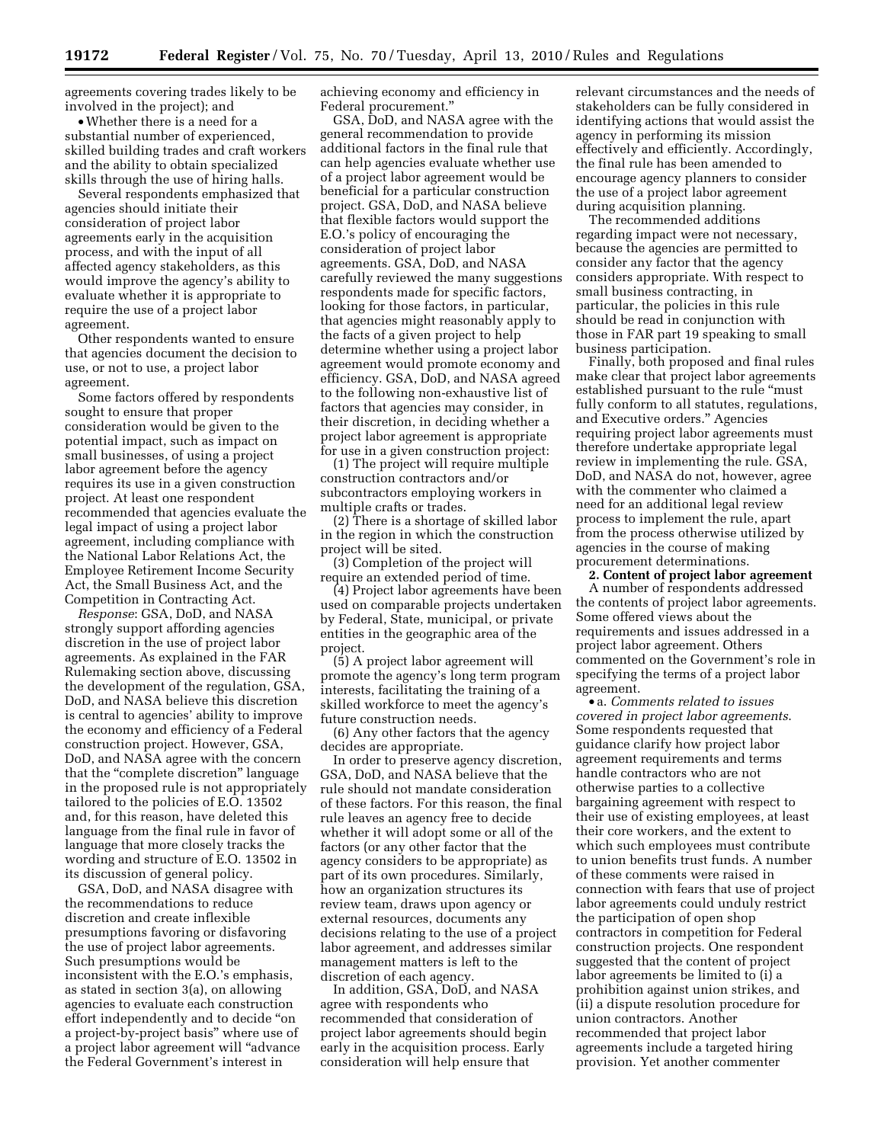agreements covering trades likely to be involved in the project); and

•Whether there is a need for a substantial number of experienced, skilled building trades and craft workers and the ability to obtain specialized skills through the use of hiring halls.

Several respondents emphasized that agencies should initiate their consideration of project labor agreements early in the acquisition process, and with the input of all affected agency stakeholders, as this would improve the agency's ability to evaluate whether it is appropriate to require the use of a project labor agreement.

Other respondents wanted to ensure that agencies document the decision to use, or not to use, a project labor agreement.

Some factors offered by respondents sought to ensure that proper consideration would be given to the potential impact, such as impact on small businesses, of using a project labor agreement before the agency requires its use in a given construction project. At least one respondent recommended that agencies evaluate the legal impact of using a project labor agreement, including compliance with the National Labor Relations Act, the Employee Retirement Income Security Act, the Small Business Act, and the Competition in Contracting Act.

*Response*: GSA, DoD, and NASA strongly support affording agencies discretion in the use of project labor agreements. As explained in the FAR Rulemaking section above, discussing the development of the regulation, GSA, DoD, and NASA believe this discretion is central to agencies' ability to improve the economy and efficiency of a Federal construction project. However, GSA, DoD, and NASA agree with the concern that the "complete discretion" language in the proposed rule is not appropriately tailored to the policies of E.O. 13502 and, for this reason, have deleted this language from the final rule in favor of language that more closely tracks the wording and structure of E.O. 13502 in its discussion of general policy.

GSA, DoD, and NASA disagree with the recommendations to reduce discretion and create inflexible presumptions favoring or disfavoring the use of project labor agreements. Such presumptions would be inconsistent with the E.O.'s emphasis, as stated in section 3(a), on allowing agencies to evaluate each construction effort independently and to decide ''on a project-by-project basis'' where use of a project labor agreement will ''advance the Federal Government's interest in

achieving economy and efficiency in Federal procurement.''

GSA, DoD, and NASA agree with the general recommendation to provide additional factors in the final rule that can help agencies evaluate whether use of a project labor agreement would be beneficial for a particular construction project. GSA, DoD, and NASA believe that flexible factors would support the E.O.'s policy of encouraging the consideration of project labor agreements. GSA, DoD, and NASA carefully reviewed the many suggestions respondents made for specific factors, looking for those factors, in particular, that agencies might reasonably apply to the facts of a given project to help determine whether using a project labor agreement would promote economy and efficiency. GSA, DoD, and NASA agreed to the following non-exhaustive list of factors that agencies may consider, in their discretion, in deciding whether a project labor agreement is appropriate for use in a given construction project:

(1) The project will require multiple construction contractors and/or subcontractors employing workers in multiple crafts or trades.

(2) There is a shortage of skilled labor in the region in which the construction project will be sited.

(3) Completion of the project will require an extended period of time.

(4) Project labor agreements have been used on comparable projects undertaken by Federal, State, municipal, or private entities in the geographic area of the project.

(5) A project labor agreement will promote the agency's long term program interests, facilitating the training of a skilled workforce to meet the agency's future construction needs.

(6) Any other factors that the agency decides are appropriate.

In order to preserve agency discretion, GSA, DoD, and NASA believe that the rule should not mandate consideration of these factors. For this reason, the final rule leaves an agency free to decide whether it will adopt some or all of the factors (or any other factor that the agency considers to be appropriate) as part of its own procedures. Similarly, how an organization structures its review team, draws upon agency or external resources, documents any decisions relating to the use of a project labor agreement, and addresses similar management matters is left to the discretion of each agency.

In addition, GSA, DoD, and NASA agree with respondents who recommended that consideration of project labor agreements should begin early in the acquisition process. Early consideration will help ensure that

relevant circumstances and the needs of stakeholders can be fully considered in identifying actions that would assist the agency in performing its mission effectively and efficiently. Accordingly, the final rule has been amended to encourage agency planners to consider the use of a project labor agreement during acquisition planning.

The recommended additions regarding impact were not necessary, because the agencies are permitted to consider any factor that the agency considers appropriate. With respect to small business contracting, in particular, the policies in this rule should be read in conjunction with those in FAR part 19 speaking to small business participation.

Finally, both proposed and final rules make clear that project labor agreements established pursuant to the rule ''must fully conform to all statutes, regulations, and Executive orders.'' Agencies requiring project labor agreements must therefore undertake appropriate legal review in implementing the rule. GSA, DoD, and NASA do not, however, agree with the commenter who claimed a need for an additional legal review process to implement the rule, apart from the process otherwise utilized by agencies in the course of making procurement determinations.

**2. Content of project labor agreement**  A number of respondents addressed the contents of project labor agreements. Some offered views about the requirements and issues addressed in a project labor agreement. Others commented on the Government's role in specifying the terms of a project labor agreement.

• a. *Comments related to issues covered in project labor agreements*. Some respondents requested that guidance clarify how project labor agreement requirements and terms handle contractors who are not otherwise parties to a collective bargaining agreement with respect to their use of existing employees, at least their core workers, and the extent to which such employees must contribute to union benefits trust funds. A number of these comments were raised in connection with fears that use of project labor agreements could unduly restrict the participation of open shop contractors in competition for Federal construction projects. One respondent suggested that the content of project labor agreements be limited to (i) a prohibition against union strikes, and (ii) a dispute resolution procedure for union contractors. Another recommended that project labor agreements include a targeted hiring provision. Yet another commenter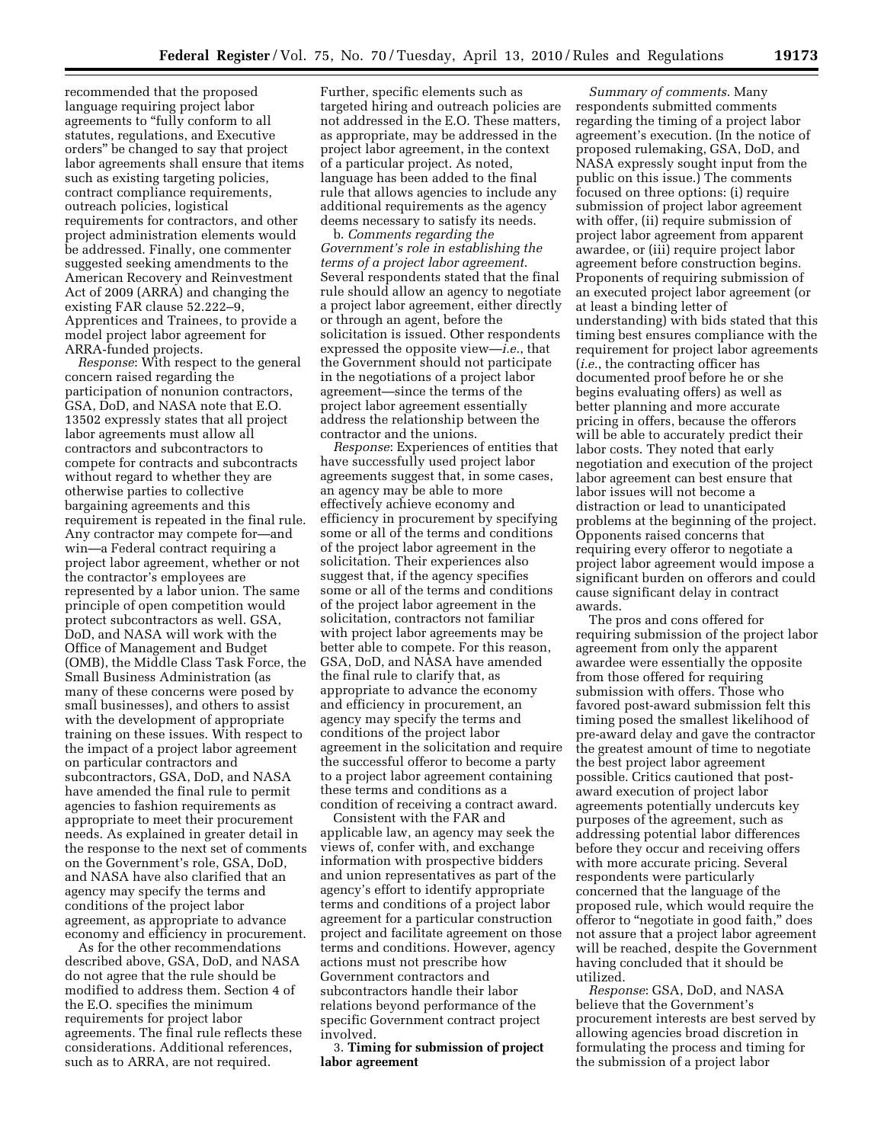recommended that the proposed language requiring project labor agreements to ''fully conform to all statutes, regulations, and Executive orders'' be changed to say that project labor agreements shall ensure that items such as existing targeting policies, contract compliance requirements, outreach policies, logistical requirements for contractors, and other project administration elements would be addressed. Finally, one commenter suggested seeking amendments to the American Recovery and Reinvestment Act of 2009 (ARRA) and changing the existing FAR clause 52.222–9, Apprentices and Trainees, to provide a model project labor agreement for ARRA-funded projects.

*Response*: With respect to the general concern raised regarding the participation of nonunion contractors, GSA, DoD, and NASA note that E.O. 13502 expressly states that all project labor agreements must allow all contractors and subcontractors to compete for contracts and subcontracts without regard to whether they are otherwise parties to collective bargaining agreements and this requirement is repeated in the final rule. Any contractor may compete for—and win—a Federal contract requiring a project labor agreement, whether or not the contractor's employees are represented by a labor union. The same principle of open competition would protect subcontractors as well. GSA, DoD, and NASA will work with the Office of Management and Budget (OMB), the Middle Class Task Force, the Small Business Administration (as many of these concerns were posed by small businesses), and others to assist with the development of appropriate training on these issues. With respect to the impact of a project labor agreement on particular contractors and subcontractors, GSA, DoD, and NASA have amended the final rule to permit agencies to fashion requirements as appropriate to meet their procurement needs. As explained in greater detail in the response to the next set of comments on the Government's role, GSA, DoD, and NASA have also clarified that an agency may specify the terms and conditions of the project labor agreement, as appropriate to advance economy and efficiency in procurement.

As for the other recommendations described above, GSA, DoD, and NASA do not agree that the rule should be modified to address them. Section 4 of the E.O. specifies the minimum requirements for project labor agreements. The final rule reflects these considerations. Additional references, such as to ARRA, are not required.

Further, specific elements such as targeted hiring and outreach policies are not addressed in the E.O. These matters, as appropriate, may be addressed in the project labor agreement, in the context of a particular project. As noted, language has been added to the final rule that allows agencies to include any additional requirements as the agency deems necessary to satisfy its needs.

b. *Comments regarding the Government's role in establishing the terms of a project labor agreement*. Several respondents stated that the final rule should allow an agency to negotiate a project labor agreement, either directly or through an agent, before the solicitation is issued. Other respondents expressed the opposite view—*i.e.*, that the Government should not participate in the negotiations of a project labor agreement—since the terms of the project labor agreement essentially address the relationship between the contractor and the unions.

*Response*: Experiences of entities that have successfully used project labor agreements suggest that, in some cases, an agency may be able to more effectively achieve economy and efficiency in procurement by specifying some or all of the terms and conditions of the project labor agreement in the solicitation. Their experiences also suggest that, if the agency specifies some or all of the terms and conditions of the project labor agreement in the solicitation, contractors not familiar with project labor agreements may be better able to compete. For this reason, GSA, DoD, and NASA have amended the final rule to clarify that, as appropriate to advance the economy and efficiency in procurement, an agency may specify the terms and conditions of the project labor agreement in the solicitation and require the successful offeror to become a party to a project labor agreement containing these terms and conditions as a condition of receiving a contract award.

Consistent with the FAR and applicable law, an agency may seek the views of, confer with, and exchange information with prospective bidders and union representatives as part of the agency's effort to identify appropriate terms and conditions of a project labor agreement for a particular construction project and facilitate agreement on those terms and conditions. However, agency actions must not prescribe how Government contractors and subcontractors handle their labor relations beyond performance of the specific Government contract project involved.

3. **Timing for submission of project labor agreement** 

*Summary of comments*. Many respondents submitted comments regarding the timing of a project labor agreement's execution. (In the notice of proposed rulemaking, GSA, DoD, and NASA expressly sought input from the public on this issue.) The comments focused on three options: (i) require submission of project labor agreement with offer, (ii) require submission of project labor agreement from apparent awardee, or (iii) require project labor agreement before construction begins. Proponents of requiring submission of an executed project labor agreement (or at least a binding letter of understanding) with bids stated that this timing best ensures compliance with the requirement for project labor agreements (*i.e.*, the contracting officer has documented proof before he or she begins evaluating offers) as well as better planning and more accurate pricing in offers, because the offerors will be able to accurately predict their labor costs. They noted that early negotiation and execution of the project labor agreement can best ensure that labor issues will not become a distraction or lead to unanticipated problems at the beginning of the project. Opponents raised concerns that requiring every offeror to negotiate a project labor agreement would impose a significant burden on offerors and could cause significant delay in contract awards.

The pros and cons offered for requiring submission of the project labor agreement from only the apparent awardee were essentially the opposite from those offered for requiring submission with offers. Those who favored post-award submission felt this timing posed the smallest likelihood of pre-award delay and gave the contractor the greatest amount of time to negotiate the best project labor agreement possible. Critics cautioned that postaward execution of project labor agreements potentially undercuts key purposes of the agreement, such as addressing potential labor differences before they occur and receiving offers with more accurate pricing. Several respondents were particularly concerned that the language of the proposed rule, which would require the offeror to ''negotiate in good faith,'' does not assure that a project labor agreement will be reached, despite the Government having concluded that it should be utilized.

*Response*: GSA, DoD, and NASA believe that the Government's procurement interests are best served by allowing agencies broad discretion in formulating the process and timing for the submission of a project labor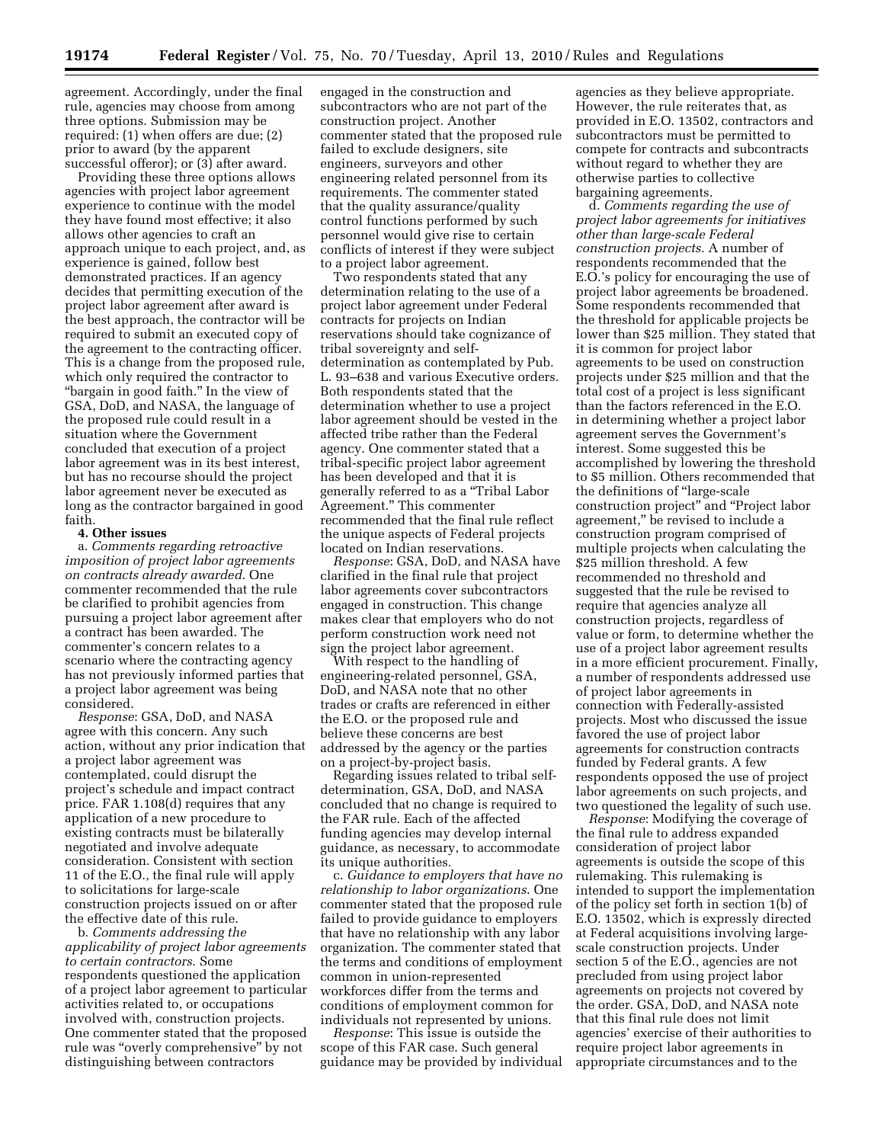agreement. Accordingly, under the final rule, agencies may choose from among three options. Submission may be required: (1) when offers are due; (2) prior to award (by the apparent successful offeror); or (3) after award.

Providing these three options allows agencies with project labor agreement experience to continue with the model they have found most effective; it also allows other agencies to craft an approach unique to each project, and, as experience is gained, follow best demonstrated practices. If an agency decides that permitting execution of the project labor agreement after award is the best approach, the contractor will be required to submit an executed copy of the agreement to the contracting officer. This is a change from the proposed rule, which only required the contractor to ''bargain in good faith.'' In the view of GSA, DoD, and NASA, the language of the proposed rule could result in a situation where the Government concluded that execution of a project labor agreement was in its best interest, but has no recourse should the project labor agreement never be executed as long as the contractor bargained in good faith.

### **4. Other issues**

a. *Comments regarding retroactive imposition of project labor agreements on contracts already awarded*. One commenter recommended that the rule be clarified to prohibit agencies from pursuing a project labor agreement after a contract has been awarded. The commenter's concern relates to a scenario where the contracting agency has not previously informed parties that a project labor agreement was being considered.

*Response*: GSA, DoD, and NASA agree with this concern. Any such action, without any prior indication that a project labor agreement was contemplated, could disrupt the project's schedule and impact contract price. FAR 1.108(d) requires that any application of a new procedure to existing contracts must be bilaterally negotiated and involve adequate consideration. Consistent with section 11 of the E.O., the final rule will apply to solicitations for large-scale construction projects issued on or after the effective date of this rule.

b. *Comments addressing the applicability of project labor agreements to certain contractors*. Some respondents questioned the application of a project labor agreement to particular activities related to, or occupations involved with, construction projects. One commenter stated that the proposed rule was "overly comprehensive" by not distinguishing between contractors

engaged in the construction and subcontractors who are not part of the construction project. Another commenter stated that the proposed rule failed to exclude designers, site engineers, surveyors and other engineering related personnel from its requirements. The commenter stated that the quality assurance/quality control functions performed by such personnel would give rise to certain conflicts of interest if they were subject to a project labor agreement.

Two respondents stated that any determination relating to the use of a project labor agreement under Federal contracts for projects on Indian reservations should take cognizance of tribal sovereignty and selfdetermination as contemplated by Pub. L. 93–638 and various Executive orders. Both respondents stated that the determination whether to use a project labor agreement should be vested in the affected tribe rather than the Federal agency. One commenter stated that a tribal-specific project labor agreement has been developed and that it is generally referred to as a ''Tribal Labor Agreement.'' This commenter recommended that the final rule reflect the unique aspects of Federal projects located on Indian reservations.

*Response*: GSA, DoD, and NASA have clarified in the final rule that project labor agreements cover subcontractors engaged in construction. This change makes clear that employers who do not perform construction work need not sign the project labor agreement.

With respect to the handling of engineering-related personnel, GSA, DoD, and NASA note that no other trades or crafts are referenced in either the E.O. or the proposed rule and believe these concerns are best addressed by the agency or the parties on a project-by-project basis.

Regarding issues related to tribal selfdetermination, GSA, DoD, and NASA concluded that no change is required to the FAR rule. Each of the affected funding agencies may develop internal guidance, as necessary, to accommodate its unique authorities.

c. *Guidance to employers that have no relationship to labor organizations*. One commenter stated that the proposed rule failed to provide guidance to employers that have no relationship with any labor organization. The commenter stated that the terms and conditions of employment common in union-represented workforces differ from the terms and conditions of employment common for individuals not represented by unions.

*Response*: This issue is outside the scope of this FAR case. Such general guidance may be provided by individual

agencies as they believe appropriate. However, the rule reiterates that, as provided in E.O. 13502, contractors and subcontractors must be permitted to compete for contracts and subcontracts without regard to whether they are otherwise parties to collective bargaining agreements.

d. *Comments regarding the use of project labor agreements for initiatives other than large-scale Federal construction projects*. A number of respondents recommended that the E.O.'s policy for encouraging the use of project labor agreements be broadened. Some respondents recommended that the threshold for applicable projects be lower than \$25 million. They stated that it is common for project labor agreements to be used on construction projects under \$25 million and that the total cost of a project is less significant than the factors referenced in the E.O. in determining whether a project labor agreement serves the Government's interest. Some suggested this be accomplished by lowering the threshold to \$5 million. Others recommended that the definitions of ''large-scale construction project'' and ''Project labor agreement,'' be revised to include a construction program comprised of multiple projects when calculating the \$25 million threshold. A few recommended no threshold and suggested that the rule be revised to require that agencies analyze all construction projects, regardless of value or form, to determine whether the use of a project labor agreement results in a more efficient procurement. Finally, a number of respondents addressed use of project labor agreements in connection with Federally-assisted projects. Most who discussed the issue favored the use of project labor agreements for construction contracts funded by Federal grants. A few respondents opposed the use of project labor agreements on such projects, and two questioned the legality of such use.

*Response*: Modifying the coverage of the final rule to address expanded consideration of project labor agreements is outside the scope of this rulemaking. This rulemaking is intended to support the implementation of the policy set forth in section 1(b) of E.O. 13502, which is expressly directed at Federal acquisitions involving largescale construction projects. Under section 5 of the E.O., agencies are not precluded from using project labor agreements on projects not covered by the order. GSA, DoD, and NASA note that this final rule does not limit agencies' exercise of their authorities to require project labor agreements in appropriate circumstances and to the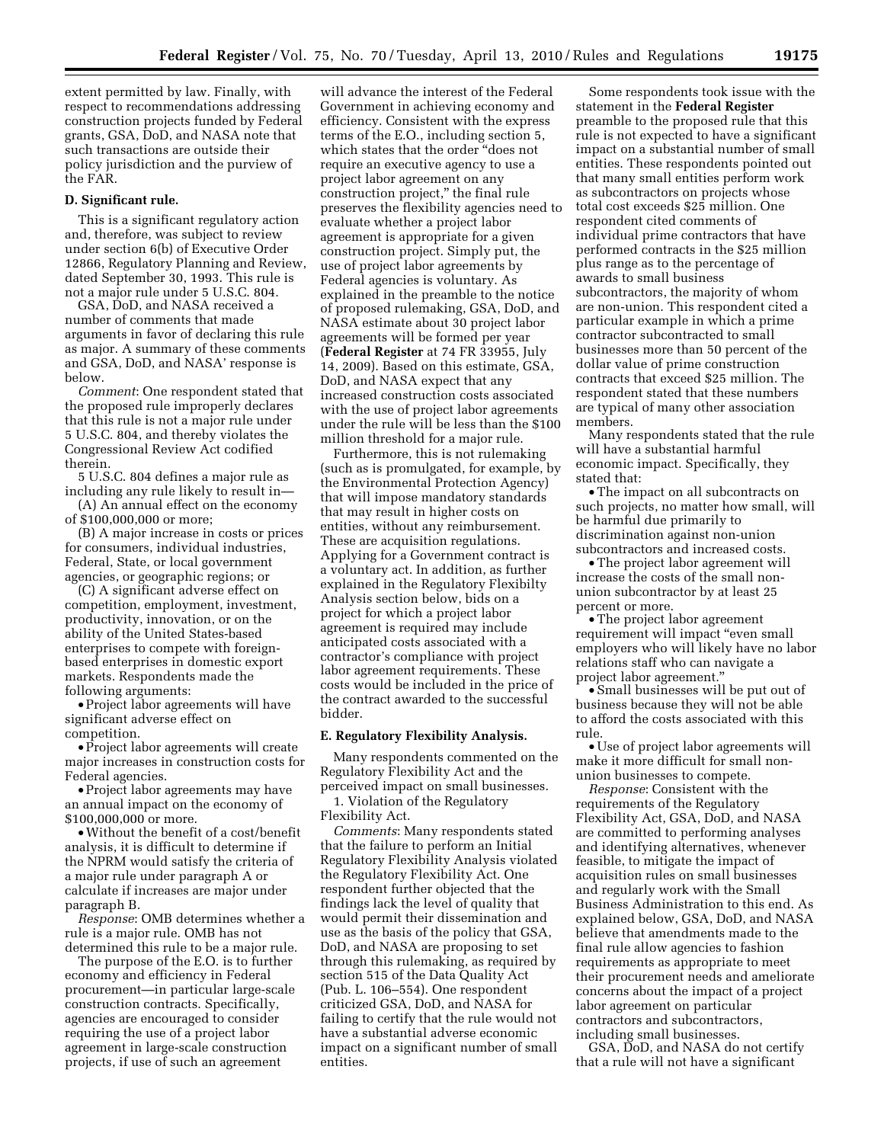extent permitted by law. Finally, with respect to recommendations addressing construction projects funded by Federal grants, GSA, DoD, and NASA note that such transactions are outside their policy jurisdiction and the purview of the FAR.

### **D. Significant rule.**

This is a significant regulatory action and, therefore, was subject to review under section 6(b) of Executive Order 12866, Regulatory Planning and Review, dated September 30, 1993. This rule is not a major rule under 5 U.S.C. 804.

GSA, DoD, and NASA received a number of comments that made arguments in favor of declaring this rule as major. A summary of these comments and GSA, DoD, and NASA' response is below.

*Comment*: One respondent stated that the proposed rule improperly declares that this rule is not a major rule under 5 U.S.C. 804, and thereby violates the Congressional Review Act codified therein.

5 U.S.C. 804 defines a major rule as including any rule likely to result in—

(A) An annual effect on the economy of \$100,000,000 or more;

(B) A major increase in costs or prices for consumers, individual industries, Federal, State, or local government agencies, or geographic regions; or

(C) A significant adverse effect on competition, employment, investment, productivity, innovation, or on the ability of the United States-based enterprises to compete with foreignbased enterprises in domestic export markets. Respondents made the following arguments:

• Project labor agreements will have significant adverse effect on competition.

• Project labor agreements will create major increases in construction costs for Federal agencies.

• Project labor agreements may have an annual impact on the economy of \$100,000,000 or more.

•Without the benefit of a cost/benefit analysis, it is difficult to determine if the NPRM would satisfy the criteria of a major rule under paragraph A or calculate if increases are major under paragraph B.

*Response*: OMB determines whether a rule is a major rule. OMB has not determined this rule to be a major rule.

The purpose of the E.O. is to further economy and efficiency in Federal procurement—in particular large-scale construction contracts. Specifically, agencies are encouraged to consider requiring the use of a project labor agreement in large-scale construction projects, if use of such an agreement

will advance the interest of the Federal Government in achieving economy and efficiency. Consistent with the express terms of the E.O., including section 5, which states that the order "does not require an executive agency to use a project labor agreement on any construction project,'' the final rule preserves the flexibility agencies need to evaluate whether a project labor agreement is appropriate for a given construction project. Simply put, the use of project labor agreements by Federal agencies is voluntary. As explained in the preamble to the notice of proposed rulemaking, GSA, DoD, and NASA estimate about 30 project labor agreements will be formed per year (**Federal Register** at 74 FR 33955, July 14, 2009). Based on this estimate, GSA, DoD, and NASA expect that any increased construction costs associated with the use of project labor agreements under the rule will be less than the \$100 million threshold for a major rule.

Furthermore, this is not rulemaking (such as is promulgated, for example, by the Environmental Protection Agency) that will impose mandatory standards that may result in higher costs on entities, without any reimbursement. These are acquisition regulations. Applying for a Government contract is a voluntary act. In addition, as further explained in the Regulatory Flexibilty Analysis section below, bids on a project for which a project labor agreement is required may include anticipated costs associated with a contractor's compliance with project labor agreement requirements. These costs would be included in the price of the contract awarded to the successful bidder.

### **E. Regulatory Flexibility Analysis.**

Many respondents commented on the Regulatory Flexibility Act and the perceived impact on small businesses.

1. Violation of the Regulatory Flexibility Act.

*Comments*: Many respondents stated that the failure to perform an Initial Regulatory Flexibility Analysis violated the Regulatory Flexibility Act. One respondent further objected that the findings lack the level of quality that would permit their dissemination and use as the basis of the policy that GSA, DoD, and NASA are proposing to set through this rulemaking, as required by section 515 of the Data Quality Act (Pub. L. 106–554). One respondent criticized GSA, DoD, and NASA for failing to certify that the rule would not have a substantial adverse economic impact on a significant number of small entities.

Some respondents took issue with the statement in the **Federal Register**  preamble to the proposed rule that this rule is not expected to have a significant impact on a substantial number of small entities. These respondents pointed out that many small entities perform work as subcontractors on projects whose total cost exceeds \$25 million. One respondent cited comments of individual prime contractors that have performed contracts in the \$25 million plus range as to the percentage of awards to small business subcontractors, the majority of whom are non-union. This respondent cited a particular example in which a prime contractor subcontracted to small businesses more than 50 percent of the dollar value of prime construction contracts that exceed \$25 million. The respondent stated that these numbers are typical of many other association members.

Many respondents stated that the rule will have a substantial harmful economic impact. Specifically, they stated that:

•The impact on all subcontracts on such projects, no matter how small, will be harmful due primarily to discrimination against non-union subcontractors and increased costs.

•The project labor agreement will increase the costs of the small nonunion subcontractor by at least 25 percent or more.

•The project labor agreement requirement will impact "even small employers who will likely have no labor relations staff who can navigate a project labor agreement.''

• Small businesses will be put out of business because they will not be able to afford the costs associated with this rule.

• Use of project labor agreements will make it more difficult for small nonunion businesses to compete.

*Response*: Consistent with the requirements of the Regulatory Flexibility Act, GSA, DoD, and NASA are committed to performing analyses and identifying alternatives, whenever feasible, to mitigate the impact of acquisition rules on small businesses and regularly work with the Small Business Administration to this end. As explained below, GSA, DoD, and NASA believe that amendments made to the final rule allow agencies to fashion requirements as appropriate to meet their procurement needs and ameliorate concerns about the impact of a project labor agreement on particular contractors and subcontractors, including small businesses.

GSA, DoD, and NASA do not certify that a rule will not have a significant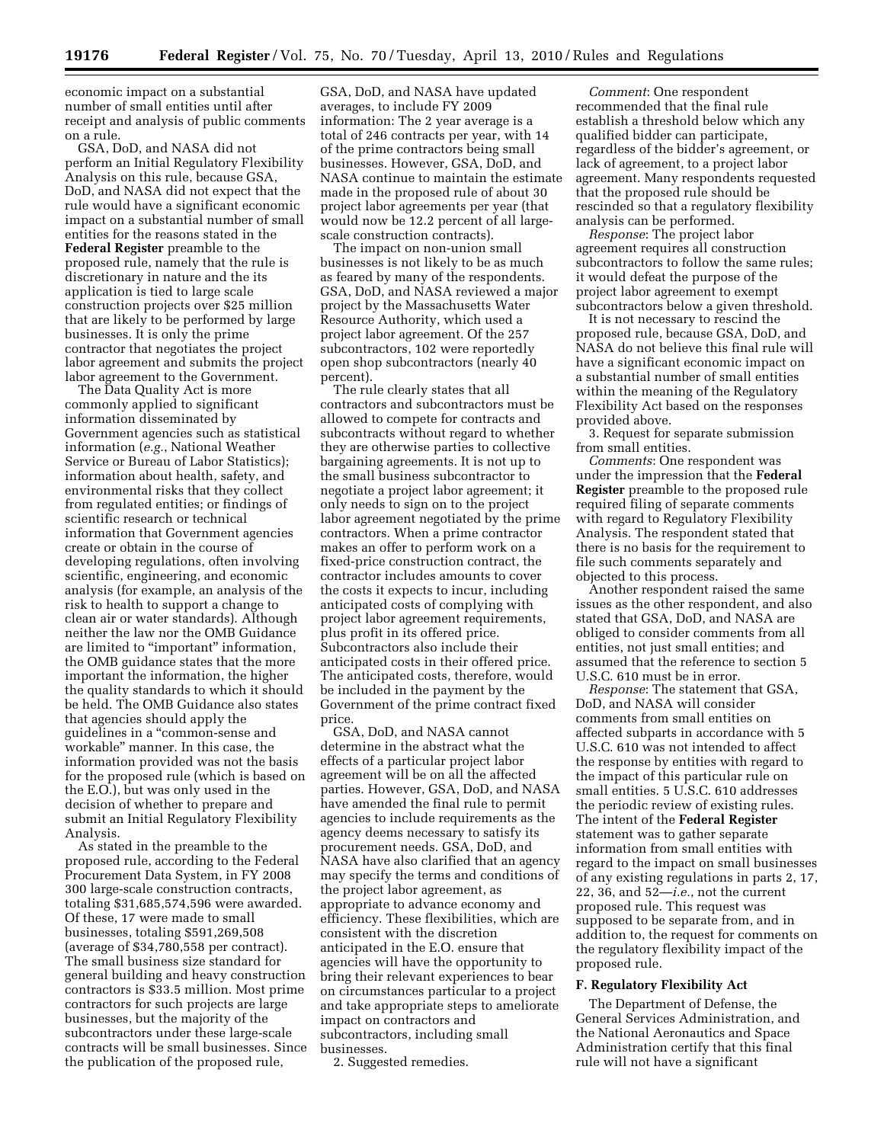economic impact on a substantial number of small entities until after receipt and analysis of public comments on a rule.

GSA, DoD, and NASA did not perform an Initial Regulatory Flexibility Analysis on this rule, because GSA, DoD, and NASA did not expect that the rule would have a significant economic impact on a substantial number of small entities for the reasons stated in the **Federal Register** preamble to the proposed rule, namely that the rule is discretionary in nature and the its application is tied to large scale construction projects over \$25 million that are likely to be performed by large businesses. It is only the prime contractor that negotiates the project labor agreement and submits the project labor agreement to the Government.

The Data Quality Act is more commonly applied to significant information disseminated by Government agencies such as statistical information (*e.g.*, National Weather Service or Bureau of Labor Statistics); information about health, safety, and environmental risks that they collect from regulated entities; or findings of scientific research or technical information that Government agencies create or obtain in the course of developing regulations, often involving scientific, engineering, and economic analysis (for example, an analysis of the risk to health to support a change to clean air or water standards). Although neither the law nor the OMB Guidance are limited to "important" information, the OMB guidance states that the more important the information, the higher the quality standards to which it should be held. The OMB Guidance also states that agencies should apply the guidelines in a ''common-sense and workable'' manner. In this case, the information provided was not the basis for the proposed rule (which is based on the E.O.), but was only used in the decision of whether to prepare and submit an Initial Regulatory Flexibility Analysis.

As stated in the preamble to the proposed rule, according to the Federal Procurement Data System, in FY 2008 300 large-scale construction contracts, totaling \$31,685,574,596 were awarded. Of these, 17 were made to small businesses, totaling \$591,269,508 (average of \$34,780,558 per contract). The small business size standard for general building and heavy construction contractors is \$33.5 million. Most prime contractors for such projects are large businesses, but the majority of the subcontractors under these large-scale contracts will be small businesses. Since the publication of the proposed rule,

GSA, DoD, and NASA have updated averages, to include FY 2009 information: The 2 year average is a total of 246 contracts per year, with 14 of the prime contractors being small businesses. However, GSA, DoD, and NASA continue to maintain the estimate made in the proposed rule of about 30 project labor agreements per year (that would now be 12.2 percent of all largescale construction contracts).

The impact on non-union small businesses is not likely to be as much as feared by many of the respondents. GSA, DoD, and NASA reviewed a major project by the Massachusetts Water Resource Authority, which used a project labor agreement. Of the 257 subcontractors, 102 were reportedly open shop subcontractors (nearly 40 percent).

The rule clearly states that all contractors and subcontractors must be allowed to compete for contracts and subcontracts without regard to whether they are otherwise parties to collective bargaining agreements. It is not up to the small business subcontractor to negotiate a project labor agreement; it only needs to sign on to the project labor agreement negotiated by the prime contractors. When a prime contractor makes an offer to perform work on a fixed-price construction contract, the contractor includes amounts to cover the costs it expects to incur, including anticipated costs of complying with project labor agreement requirements, plus profit in its offered price. Subcontractors also include their anticipated costs in their offered price. The anticipated costs, therefore, would be included in the payment by the Government of the prime contract fixed price.

GSA, DoD, and NASA cannot determine in the abstract what the effects of a particular project labor agreement will be on all the affected parties. However, GSA, DoD, and NASA have amended the final rule to permit agencies to include requirements as the agency deems necessary to satisfy its procurement needs. GSA, DoD, and NASA have also clarified that an agency may specify the terms and conditions of the project labor agreement, as appropriate to advance economy and efficiency. These flexibilities, which are consistent with the discretion anticipated in the E.O. ensure that agencies will have the opportunity to bring their relevant experiences to bear on circumstances particular to a project and take appropriate steps to ameliorate impact on contractors and subcontractors, including small businesses.

2. Suggested remedies.

*Comment*: One respondent recommended that the final rule establish a threshold below which any qualified bidder can participate, regardless of the bidder's agreement, or lack of agreement, to a project labor agreement. Many respondents requested that the proposed rule should be rescinded so that a regulatory flexibility analysis can be performed.

*Response*: The project labor agreement requires all construction subcontractors to follow the same rules; it would defeat the purpose of the project labor agreement to exempt subcontractors below a given threshold.

It is not necessary to rescind the proposed rule, because GSA, DoD, and NASA do not believe this final rule will have a significant economic impact on a substantial number of small entities within the meaning of the Regulatory Flexibility Act based on the responses provided above.

3. Request for separate submission from small entities.

*Comments*: One respondent was under the impression that the **Federal Register** preamble to the proposed rule required filing of separate comments with regard to Regulatory Flexibility Analysis. The respondent stated that there is no basis for the requirement to file such comments separately and objected to this process.

Another respondent raised the same issues as the other respondent, and also stated that GSA, DoD, and NASA are obliged to consider comments from all entities, not just small entities; and assumed that the reference to section 5 U.S.C. 610 must be in error.

*Response*: The statement that GSA, DoD, and NASA will consider comments from small entities on affected subparts in accordance with 5 U.S.C. 610 was not intended to affect the response by entities with regard to the impact of this particular rule on small entities. 5 U.S.C. 610 addresses the periodic review of existing rules. The intent of the **Federal Register**  statement was to gather separate information from small entities with regard to the impact on small businesses of any existing regulations in parts 2, 17, 22, 36, and 52—*i.e.*, not the current proposed rule. This request was supposed to be separate from, and in addition to, the request for comments on the regulatory flexibility impact of the proposed rule.

### **F. Regulatory Flexibility Act**

The Department of Defense, the General Services Administration, and the National Aeronautics and Space Administration certify that this final rule will not have a significant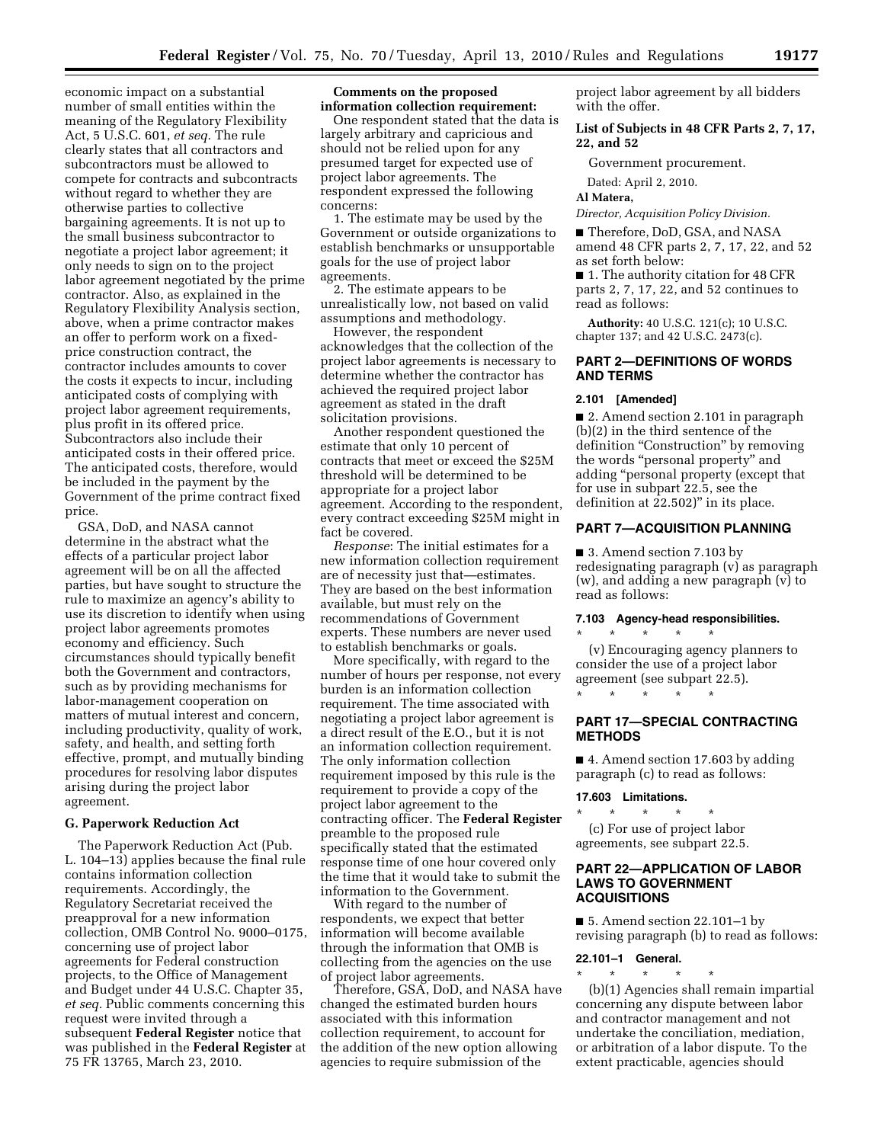economic impact on a substantial number of small entities within the meaning of the Regulatory Flexibility Act, 5 U.S.C. 601, *et seq.* The rule clearly states that all contractors and subcontractors must be allowed to compete for contracts and subcontracts without regard to whether they are otherwise parties to collective bargaining agreements. It is not up to the small business subcontractor to negotiate a project labor agreement; it only needs to sign on to the project labor agreement negotiated by the prime contractor. Also, as explained in the Regulatory Flexibility Analysis section, above, when a prime contractor makes an offer to perform work on a fixedprice construction contract, the contractor includes amounts to cover the costs it expects to incur, including anticipated costs of complying with project labor agreement requirements, plus profit in its offered price. Subcontractors also include their anticipated costs in their offered price. The anticipated costs, therefore, would be included in the payment by the Government of the prime contract fixed price.

GSA, DoD, and NASA cannot determine in the abstract what the effects of a particular project labor agreement will be on all the affected parties, but have sought to structure the rule to maximize an agency's ability to use its discretion to identify when using project labor agreements promotes economy and efficiency. Such circumstances should typically benefit both the Government and contractors, such as by providing mechanisms for labor-management cooperation on matters of mutual interest and concern, including productivity, quality of work, safety, and health, and setting forth effective, prompt, and mutually binding procedures for resolving labor disputes arising during the project labor agreement.

### **G. Paperwork Reduction Act**

The Paperwork Reduction Act (Pub. L. 104–13) applies because the final rule contains information collection requirements. Accordingly, the Regulatory Secretariat received the preapproval for a new information collection, OMB Control No. 9000–0175, concerning use of project labor agreements for Federal construction projects, to the Office of Management and Budget under 44 U.S.C. Chapter 35, *et seq.* Public comments concerning this request were invited through a subsequent **Federal Register** notice that was published in the **Federal Register** at 75 FR 13765, March 23, 2010.

### **Comments on the proposed information collection requirement:**

One respondent stated that the data is largely arbitrary and capricious and should not be relied upon for any presumed target for expected use of project labor agreements. The respondent expressed the following concerns:

1. The estimate may be used by the Government or outside organizations to establish benchmarks or unsupportable goals for the use of project labor agreements.

2. The estimate appears to be unrealistically low, not based on valid assumptions and methodology.

However, the respondent acknowledges that the collection of the project labor agreements is necessary to determine whether the contractor has achieved the required project labor agreement as stated in the draft solicitation provisions.

Another respondent questioned the estimate that only 10 percent of contracts that meet or exceed the \$25M threshold will be determined to be appropriate for a project labor agreement. According to the respondent, every contract exceeding \$25M might in fact be covered.

*Response*: The initial estimates for a new information collection requirement are of necessity just that—estimates. They are based on the best information available, but must rely on the recommendations of Government experts. These numbers are never used to establish benchmarks or goals.

More specifically, with regard to the number of hours per response, not every burden is an information collection requirement. The time associated with negotiating a project labor agreement is a direct result of the E.O., but it is not an information collection requirement. The only information collection requirement imposed by this rule is the requirement to provide a copy of the project labor agreement to the contracting officer. The **Federal Register**  preamble to the proposed rule specifically stated that the estimated response time of one hour covered only the time that it would take to submit the information to the Government.

With regard to the number of respondents, we expect that better information will become available through the information that OMB is collecting from the agencies on the use of project labor agreements.

Therefore, GSA, DoD, and NASA have changed the estimated burden hours associated with this information collection requirement, to account for the addition of the new option allowing agencies to require submission of the

project labor agreement by all bidders with the offer.

## **List of Subjects in 48 CFR Parts 2, 7, 17, 22, and 52**

Government procurement.

Dated: April 2, 2010.

#### **Al Matera,**

*Director, Acquisition Policy Division.* 

■ Therefore, DoD, GSA, and NASA amend 48 CFR parts 2, 7, 17, 22, and 52 as set forth below:

■ 1. The authority citation for 48 CFR parts 2, 7, 17, 22, and 52 continues to read as follows:

**Authority:** 40 U.S.C. 121(c); 10 U.S.C. chapter 137; and 42 U.S.C. 2473(c).

## **PART 2—DEFINITIONS OF WORDS AND TERMS**

### **2.101 [Amended]**

■ 2. Amend section 2.101 in paragraph (b)(2) in the third sentence of the definition "Construction" by removing the words "personal property" and adding ''personal property (except that for use in subpart 22.5, see the definition at 22.502)" in its place.

# **PART 7—ACQUISITION PLANNING**

■ 3. Amend section 7.103 by redesignating paragraph (v) as paragraph (w), and adding a new paragraph (v) to read as follows:

## **7.103 Agency-head responsibilities.**

\* \* \* \* \* (v) Encouraging agency planners to consider the use of a project labor agreement (see subpart 22.5).

# **PART 17—SPECIAL CONTRACTING METHODS**

■ 4. Amend section 17.603 by adding paragraph (c) to read as follows:

### **17.603 Limitations.**

\* \* \* \* \*

\* \* \* \* \* (c) For use of project labor agreements, see subpart 22.5.

## **PART 22—APPLICATION OF LABOR LAWS TO GOVERNMENT ACQUISITIONS**

■ 5. Amend section 22.101–1 by revising paragraph (b) to read as follows:

### **22.101–1 General.**

\* \* \* \* \* (b)(1) Agencies shall remain impartial concerning any dispute between labor and contractor management and not undertake the conciliation, mediation, or arbitration of a labor dispute. To the extent practicable, agencies should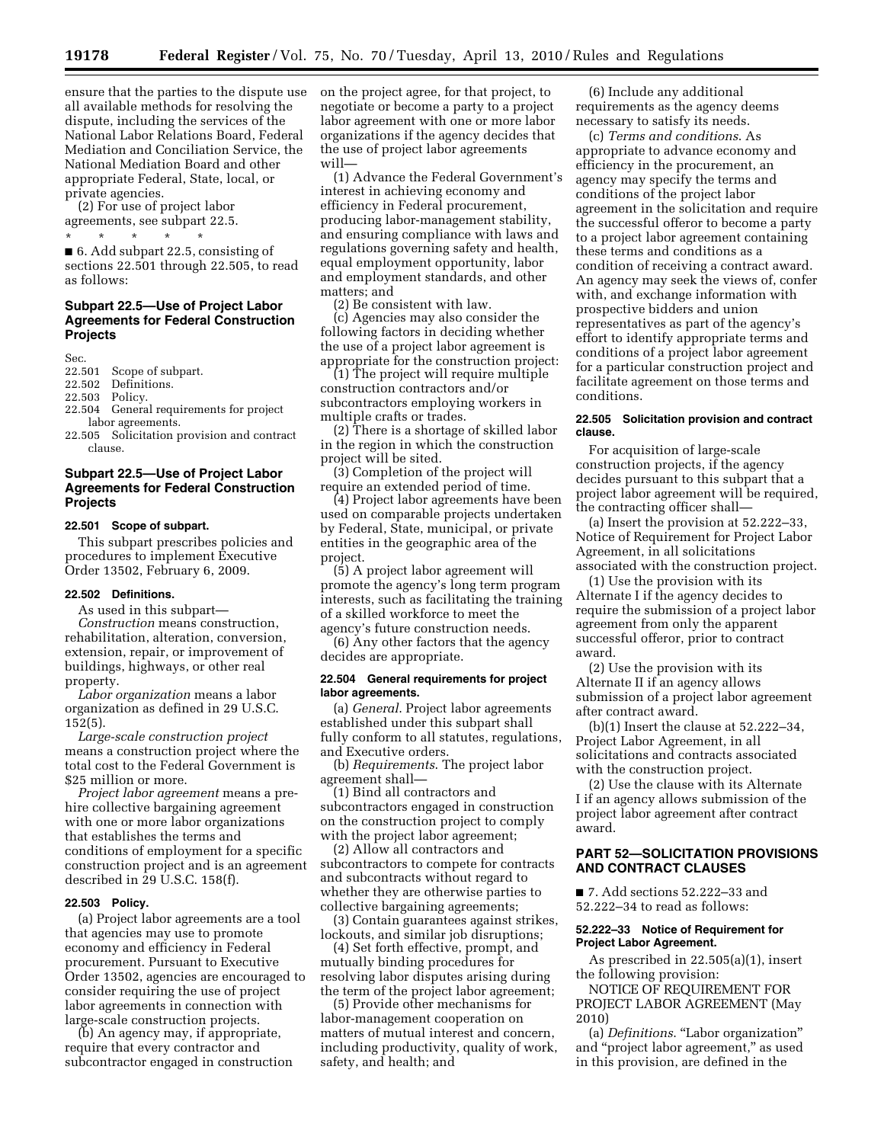ensure that the parties to the dispute use all available methods for resolving the dispute, including the services of the National Labor Relations Board, Federal Mediation and Conciliation Service, the National Mediation Board and other appropriate Federal, State, local, or private agencies.

(2) For use of project labor agreements, see subpart 22.5.

\* \* \* \* \* ■ 6. Add subpart 22.5, consisting of sections 22.501 through 22.505, to read as follows:

### **Subpart 22.5—Use of Project Labor Agreements for Federal Construction Projects**

Sec.

22.501 Scope of subpart.

22.502 Definitions.<br>22.503 Policy.

Policy.

- 22.504 General requirements for project labor agreements.
- 22.505 Solicitation provision and contract clause.

# **Subpart 22.5—Use of Project Labor Agreements for Federal Construction Projects**

# **22.501 Scope of subpart.**

This subpart prescribes policies and procedures to implement Executive Order 13502, February 6, 2009.

### **22.502 Definitions.**

As used in this subpart—

*Construction* means construction, rehabilitation, alteration, conversion, extension, repair, or improvement of buildings, highways, or other real property.

*Labor organization* means a labor organization as defined in 29 U.S.C. 152(5).

*Large-scale construction project*  means a construction project where the total cost to the Federal Government is \$25 million or more.

*Project labor agreement* means a prehire collective bargaining agreement with one or more labor organizations that establishes the terms and conditions of employment for a specific construction project and is an agreement described in 29 U.S.C. 158(f).

## **22.503 Policy.**

(a) Project labor agreements are a tool that agencies may use to promote economy and efficiency in Federal procurement. Pursuant to Executive Order 13502, agencies are encouraged to consider requiring the use of project labor agreements in connection with large-scale construction projects.

(b) An agency may, if appropriate, require that every contractor and subcontractor engaged in construction on the project agree, for that project, to negotiate or become a party to a project labor agreement with one or more labor organizations if the agency decides that the use of project labor agreements will—

(1) Advance the Federal Government's interest in achieving economy and efficiency in Federal procurement, producing labor-management stability, and ensuring compliance with laws and regulations governing safety and health, equal employment opportunity, labor and employment standards, and other matters; and

(2) Be consistent with law.

(c) Agencies may also consider the following factors in deciding whether the use of a project labor agreement is appropriate for the construction project:

(1) The project will require multiple construction contractors and/or subcontractors employing workers in multiple crafts or trades.

(2) There is a shortage of skilled labor in the region in which the construction project will be sited.

(3) Completion of the project will require an extended period of time.

(4) Project labor agreements have been used on comparable projects undertaken by Federal, State, municipal, or private entities in the geographic area of the project.

(5) A project labor agreement will promote the agency's long term program interests, such as facilitating the training of a skilled workforce to meet the agency's future construction needs.

(6) Any other factors that the agency decides are appropriate.

### **22.504 General requirements for project labor agreements.**

(a) *General*. Project labor agreements established under this subpart shall fully conform to all statutes, regulations, and Executive orders.

(b) *Requirements*. The project labor agreement shall—

(1) Bind all contractors and subcontractors engaged in construction on the construction project to comply with the project labor agreement;

(2) Allow all contractors and subcontractors to compete for contracts and subcontracts without regard to whether they are otherwise parties to collective bargaining agreements;

(3) Contain guarantees against strikes, lockouts, and similar job disruptions;

(4) Set forth effective, prompt, and mutually binding procedures for resolving labor disputes arising during the term of the project labor agreement;

(5) Provide other mechanisms for labor-management cooperation on matters of mutual interest and concern, including productivity, quality of work, safety, and health; and

(6) Include any additional requirements as the agency deems necessary to satisfy its needs.

(c) *Terms and conditions*. As appropriate to advance economy and efficiency in the procurement, an agency may specify the terms and conditions of the project labor agreement in the solicitation and require the successful offeror to become a party to a project labor agreement containing these terms and conditions as a condition of receiving a contract award. An agency may seek the views of, confer with, and exchange information with prospective bidders and union representatives as part of the agency's effort to identify appropriate terms and conditions of a project labor agreement for a particular construction project and facilitate agreement on those terms and conditions.

### **22.505 Solicitation provision and contract clause.**

For acquisition of large-scale construction projects, if the agency decides pursuant to this subpart that a project labor agreement will be required, the contracting officer shall—

(a) Insert the provision at 52.222–33, Notice of Requirement for Project Labor Agreement, in all solicitations associated with the construction project.

(1) Use the provision with its Alternate I if the agency decides to require the submission of a project labor agreement from only the apparent successful offeror, prior to contract award.

(2) Use the provision with its Alternate II if an agency allows submission of a project labor agreement after contract award.

(b)(1) Insert the clause at 52.222–34, Project Labor Agreement, in all solicitations and contracts associated with the construction project.

(2) Use the clause with its Alternate I if an agency allows submission of the project labor agreement after contract award.

## **PART 52—SOLICITATION PROVISIONS AND CONTRACT CLAUSES**

■ 7. Add sections 52.222–33 and 52.222–34 to read as follows:

### **52.222–33 Notice of Requirement for Project Labor Agreement.**

As prescribed in 22.505(a)(1), insert the following provision:

NOTICE OF REQUIREMENT FOR PROJECT LABOR AGREEMENT (May 2010)

(a) *Definitions*. ''Labor organization'' and ''project labor agreement,'' as used in this provision, are defined in the